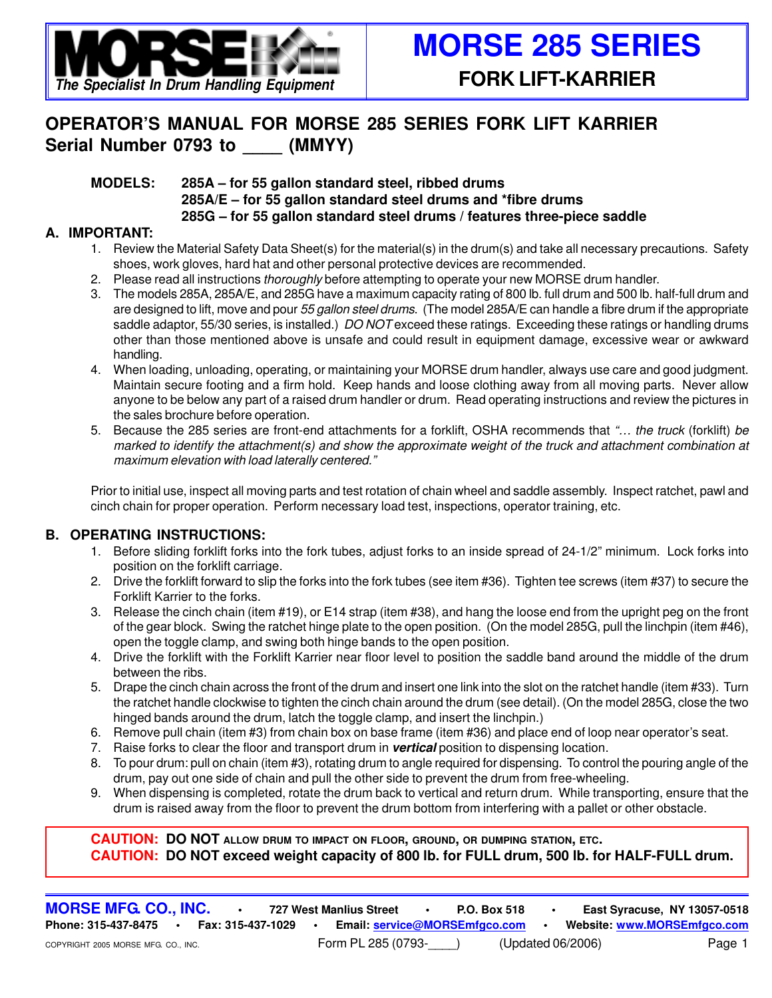

## **OPERATOR'S MANUAL FOR MORSE 285 SERIES FORK LIFT KARRIER** Serial Number 0793 to (MMYY)

#### **MODELS: 285A – for 55 gallon standard steel, ribbed drums 285A/E – for 55 gallon standard steel drums and \*fibre drums 285G – for 55 gallon standard steel drums / features three-piece saddle**

#### **A. IMPORTANT:**

- 1. Review the Material Safety Data Sheet(s) for the material(s) in the drum(s) and take all necessary precautions. Safety shoes, work gloves, hard hat and other personal protective devices are recommended.
- 2. Please read all instructions thoroughly before attempting to operate your new MORSE drum handler.
- 3. The models 285A, 285A/E, and 285G have a maximum capacity rating of 800 lb. full drum and 500 lb. half-full drum and are designed to lift, move and pour 55 gallon steel drums. (The model 285A/E can handle a fibre drum if the appropriate saddle adaptor, 55/30 series, is installed.) DO NOT exceed these ratings. Exceeding these ratings or handling drums other than those mentioned above is unsafe and could result in equipment damage, excessive wear or awkward handling.
- 4. When loading, unloading, operating, or maintaining your MORSE drum handler, always use care and good judgment. Maintain secure footing and a firm hold. Keep hands and loose clothing away from all moving parts. Never allow anyone to be below any part of a raised drum handler or drum. Read operating instructions and review the pictures in the sales brochure before operation.
- 5. Because the 285 series are front-end attachments for a forklift, OSHA recommends that "... the truck (forklift) be marked to identify the attachment(s) and show the approximate weight of the truck and attachment combination at maximum elevation with load laterally centered."

Prior to initial use, inspect all moving parts and test rotation of chain wheel and saddle assembly. Inspect ratchet, pawl and cinch chain for proper operation. Perform necessary load test, inspections, operator training, etc.

#### **B. OPERATING INSTRUCTIONS:**

- 1. Before sliding forklift forks into the fork tubes, adjust forks to an inside spread of 24-1/2" minimum. Lock forks into position on the forklift carriage.
- 2. Drive the forklift forward to slip the forks into the fork tubes (see item #36). Tighten tee screws (item #37) to secure the Forklift Karrier to the forks.
- 3. Release the cinch chain (item #19), or E14 strap (item #38), and hang the loose end from the upright peg on the front of the gear block. Swing the ratchet hinge plate to the open position. (On the model 285G, pull the linchpin (item #46), open the toggle clamp, and swing both hinge bands to the open position.
- 4. Drive the forklift with the Forklift Karrier near floor level to position the saddle band around the middle of the drum between the ribs.
- 5. Drape the cinch chain across the front of the drum and insert one link into the slot on the ratchet handle (item #33). Turn the ratchet handle clockwise to tighten the cinch chain around the drum (see detail). (On the model 285G, close the two hinged bands around the drum, latch the toggle clamp, and insert the linchpin.)
- 6. Remove pull chain (item #3) from chain box on base frame (item #36) and place end of loop near operator's seat.
- 7. Raise forks to clear the floor and transport drum in **vertical** position to dispensing location.
- 8. To pour drum: pull on chain (item #3), rotating drum to angle required for dispensing. To control the pouring angle of the drum, pay out one side of chain and pull the other side to prevent the drum from free-wheeling.
- 9. When dispensing is completed, rotate the drum back to vertical and return drum. While transporting, ensure that the drum is raised away from the floor to prevent the drum bottom from interfering with a pallet or other obstacle.

**CAUTION: DO NOT ALLOW DRUM TO IMPACT ON FLOOR, GROUND, OR DUMPING STATION, ETC. CAUTION: DO NOT exceed weight capacity of 800 lb. for FULL drum, 500 lb. for HALF-FULL drum.**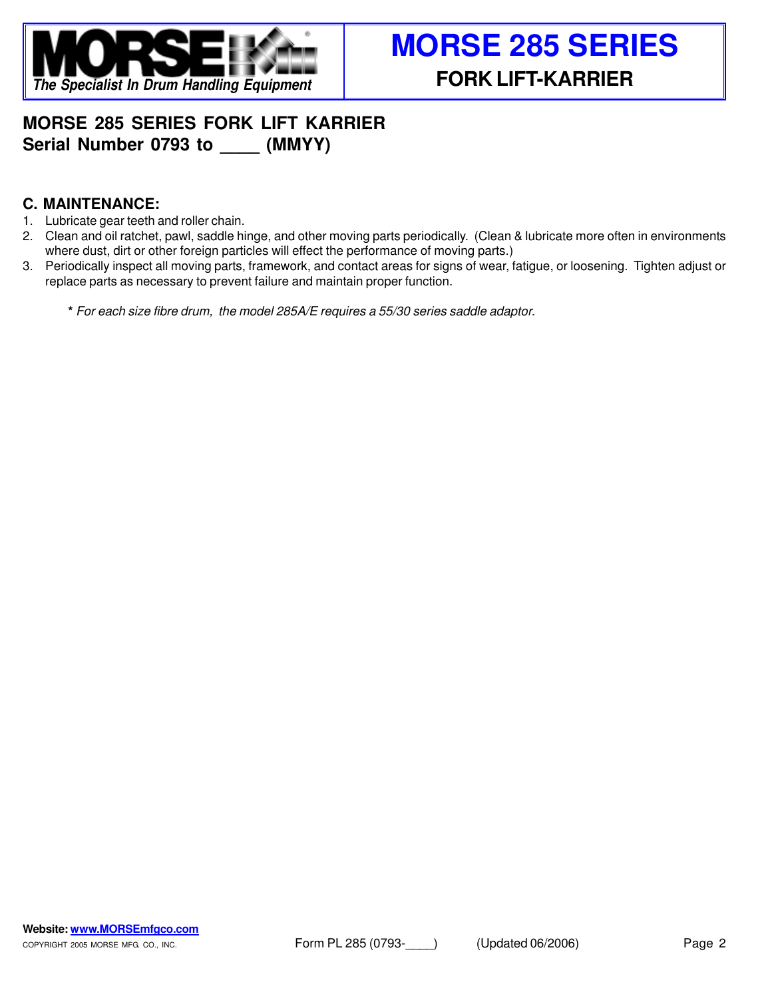

## **MORSE 285 SERIES FORK LIFT KARRIER** Serial Number 0793 to (MMYY)

### **C. MAINTENANCE:**

- 1. Lubricate gear teeth and roller chain.
- 2. Clean and oil ratchet, pawl, saddle hinge, and other moving parts periodically. (Clean & lubricate more often in environments where dust, dirt or other foreign particles will effect the performance of moving parts.)
- 3. Periodically inspect all moving parts, framework, and contact areas for signs of wear, fatigue, or loosening. Tighten adjust or replace parts as necessary to prevent failure and maintain proper function.

**\*** For each size fibre drum, the model 285A/E requires a 55/30 series saddle adaptor.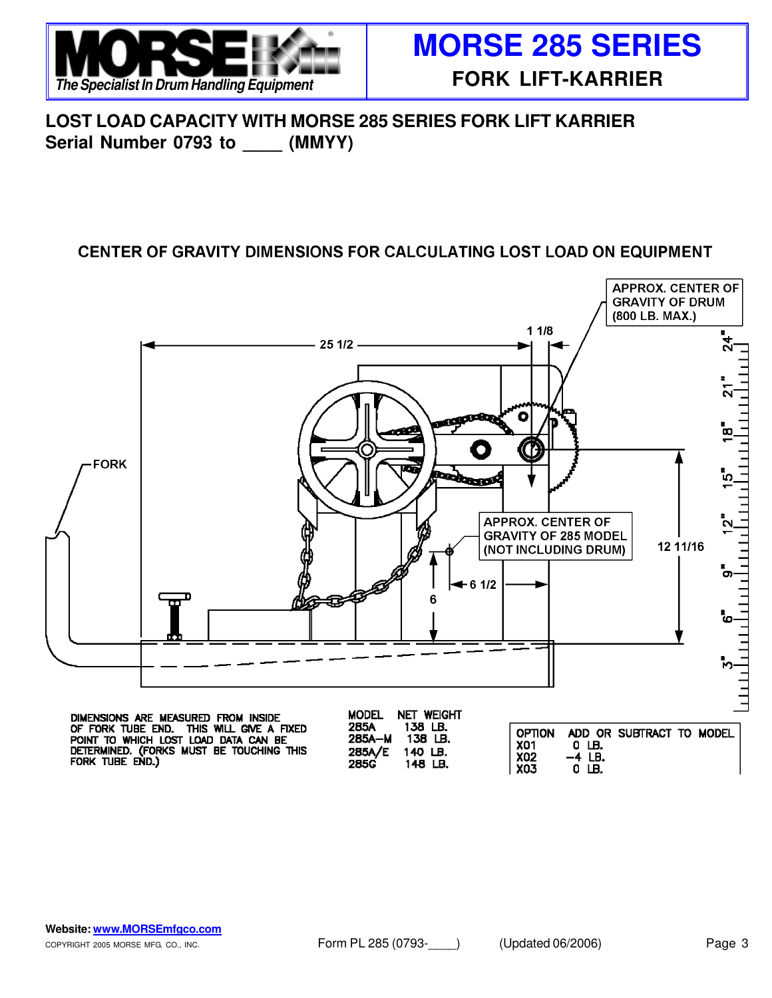

**LOST LOAD CAPACITY WITH MORSE 285 SERIES FORK LIFT KARRIER** Serial Number 0793 to (MMYY)

### CENTER OF GRAVITY DIMENSIONS FOR CALCULATING LOST LOAD ON EQUIPMENT



285G

148 LB.

-4 LB.

 $0$  LB.

**X03**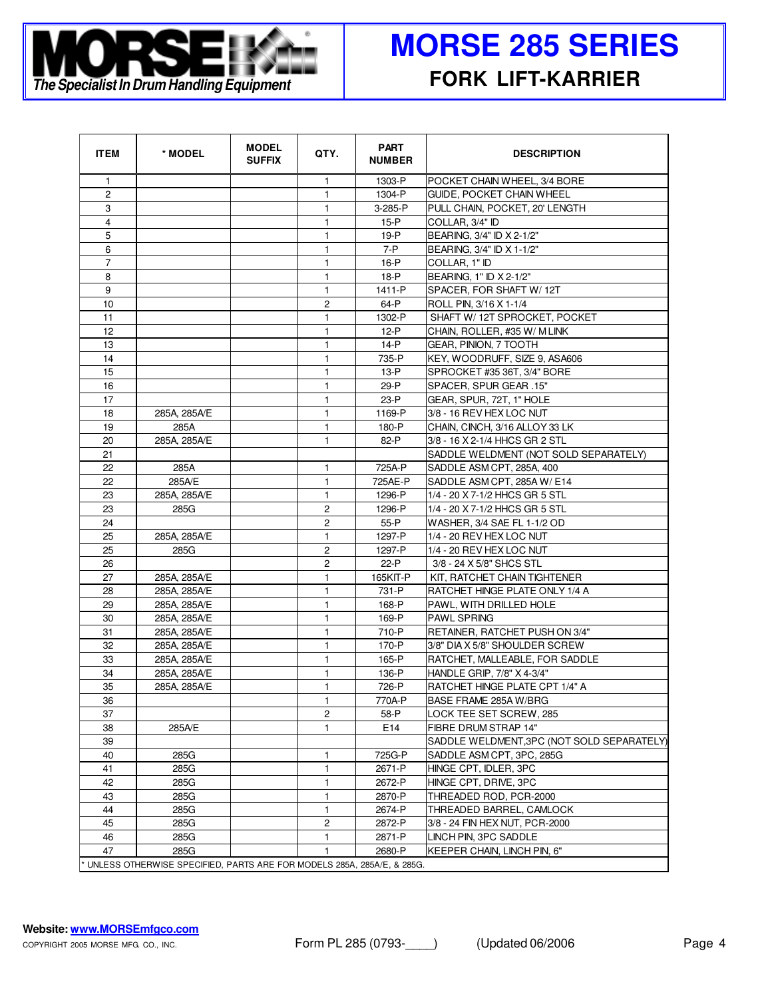

| <b>ITEM</b>    | * MODEL                                                                | <b>MODEL</b><br><b>SUFFIX</b> | QTY.                    | <b>PART</b><br><b>NUMBER</b> | <b>DESCRIPTION</b>                        |
|----------------|------------------------------------------------------------------------|-------------------------------|-------------------------|------------------------------|-------------------------------------------|
| $\mathbf{1}$   |                                                                        |                               | 1.                      | 1303-P                       | POCKET CHAIN WHEEL, 3/4 BORE              |
| $\overline{c}$ |                                                                        |                               | $\mathbf{1}$            | 1304-P                       | GUIDE, POCKET CHAIN WHEEL                 |
| 3              |                                                                        |                               | 1                       | 3-285-P                      | PULL CHAIN, POCKET, 20' LENGTH            |
| 4              |                                                                        |                               | 1                       | 15-P                         | COLLAR. 3/4" ID                           |
| 5              |                                                                        |                               | 1                       | 19-P                         | BEARING, 3/4" ID X 2-1/2"                 |
| 6              |                                                                        |                               | 1                       | $7-P$                        | BEARING, 3/4" ID X 1-1/2"                 |
| $\overline{7}$ |                                                                        |                               | 1                       | $16-P$                       | COLLAR, 1" ID                             |
| 8              |                                                                        |                               | $\mathbf{1}$            | 18-P                         | BEARING, 1" ID X 2-1/2"                   |
| 9              |                                                                        |                               | 1                       | 1411-P                       | SPACER, FOR SHAFT W/12T                   |
| 10             |                                                                        |                               | 2                       | 64-P                         | ROLL PIN, 3/16 X 1-1/4                    |
| 11             |                                                                        |                               | 1                       | 1302-P                       | SHAFT W/ 12T SPROCKET, POCKET             |
| 12             |                                                                        |                               | 1                       | 12-P                         | CHAIN, ROLLER, #35 W/ M LINK              |
| 13             |                                                                        |                               | 1                       | 14-P                         | GEAR, PINION, 7 TOOTH                     |
| 14             |                                                                        |                               | 1                       | 735-P                        | KEY, WOODRUFF, SIZE 9, ASA606             |
| 15             |                                                                        |                               | 1                       | 13-P                         | SPROCKET #35 36T, 3/4" BORE               |
| 16             |                                                                        |                               | 1                       | 29-P                         | SPACER, SPUR GEAR .15"                    |
| 17             |                                                                        |                               | 1                       | $23-P$                       | GEAR, SPUR, 72T, 1" HOLE                  |
| 18             | 285A, 285A/E                                                           |                               | $\mathbf{1}$            | 1169-P                       | 3/8 - 16 REV HEX LOC NUT                  |
| 19             | 285A                                                                   |                               | $\mathbf{1}$            | 180-P                        | CHAIN, CINCH, 3/16 ALLOY 33 LK            |
| 20             | 285A, 285A/E                                                           |                               | 1                       | 82-P                         | 3/8 - 16 X 2-1/4 HHCS GR 2 STL            |
| 21             |                                                                        |                               |                         |                              | SADDLE WELDMENT (NOT SOLD SEPARATELY)     |
| 22             | 285A                                                                   |                               | $\mathbf{1}$            | 725A-P                       | SADDLE ASM CPT, 285A, 400                 |
| 22             | 285A/E                                                                 |                               | $\mathbf{1}$            | 725AE-P                      | SADDLE ASM CPT, 285A W/ E14               |
| 23             | 285A, 285A/E                                                           |                               | 1                       | 1296-P                       | 1/4 - 20 X 7-1/2 HHCS GR 5 STL            |
| 23             | 285G                                                                   |                               | $\overline{c}$          | 1296-P                       | 1/4 - 20 X 7-1/2 HHCS GR 5 STL            |
| 24             |                                                                        |                               | $\overline{\mathbf{c}}$ | 55-P                         | WASHER, 3/4 SAE FL 1-1/2 OD               |
| 25             | 285A, 285A/E                                                           |                               | 1                       | 1297-P                       | 1/4 - 20 REV HEX LOC NUT                  |
| 25             | 285G                                                                   |                               | $\overline{c}$          | 1297-P                       | 1/4 - 20 REV HEX LOC NUT                  |
| 26             |                                                                        |                               | 2                       | $22-P$                       | 3/8 - 24 X 5/8" SHCS STL                  |
| 27             | 285A, 285A/E                                                           |                               | 1                       | 165KIT-P                     | KIT, RATCHET CHAIN TIGHTENER              |
| 28             | 285A, 285A/E                                                           |                               | 1                       | 731-P                        | RATCHET HINGE PLATE ONLY 1/4 A            |
| 29             | 285A, 285A/E                                                           |                               | 1                       | 168-P                        | PAWL, WITH DRILLED HOLE                   |
| 30             | 285A, 285A/E                                                           |                               | 1                       | 169-P                        | <b>PAWL SPRING</b>                        |
| 31             | 285A. 285A/E                                                           |                               | 1                       | 710-P                        | RETAINER, RATCHET PUSH ON 3/4"            |
| 32             | 285A, 285A/E                                                           |                               | 1                       | 170-P                        | 3/8" DIA X 5/8" SHOULDER SCREW            |
| 33             | 285A, 285A/E                                                           |                               | 1                       | 165-P                        | RATCHET, MALLEABLE, FOR SADDLE            |
| 34             | 285A, 285A/E                                                           |                               | 1                       | 136-P                        | HANDLE GRIP, 7/8" X 4-3/4"                |
| 35             | 285A, 285A/E                                                           |                               | 1                       | 726-P                        | RATCHET HINGE PLATE CPT 1/4" A            |
| 36             |                                                                        |                               | $\mathbf{1}$            | 770A-P                       | BASE FRAME 285A W/BRG                     |
| 37             |                                                                        |                               | $\overline{c}$          | 58-P                         | LOCK TEE SET SCREW, 285                   |
| 38             | 285A/E                                                                 |                               | 1.                      | E14                          | FIBRE DRUM STRAP 14"                      |
| 39             |                                                                        |                               |                         |                              | SADDLE WELDMENT,3PC (NOT SOLD SEPARATELY) |
| 40             | 285G                                                                   |                               | 1                       | 725G-P                       | SADDLE ASM CPT, 3PC, 285G                 |
| 41             | 285G                                                                   |                               | 1                       | 2671-P                       | HINGE CPT, IDLER, 3PC                     |
| 42             | 285G                                                                   |                               | 1                       | 2672-P                       | HINGE CPT, DRIVE, 3PC                     |
| 43             | 285G                                                                   |                               | 1                       | 2870-P                       | THREADED ROD, PCR-2000                    |
| 44             | 285G                                                                   |                               | 1                       | 2674-P                       | THREADED BARREL, CAMLOCK                  |
| 45             | 285G                                                                   |                               | 2                       | 2872-P                       | 3/8 - 24 FIN HEX NUT, PCR-2000            |
| 46             | 285G                                                                   |                               | 1                       | 2871-P                       | LINCH PIN, 3PC SADDLE                     |
| 47             | 285G                                                                   |                               | 1                       | 2680-P                       | KEEPER CHAIN, LINCH PIN, 6"               |
|                | UNLESS OTHERWISE SPECIFIED, PARTS ARE FOR MODELS 285A, 285A/E, & 285G. |                               |                         |                              |                                           |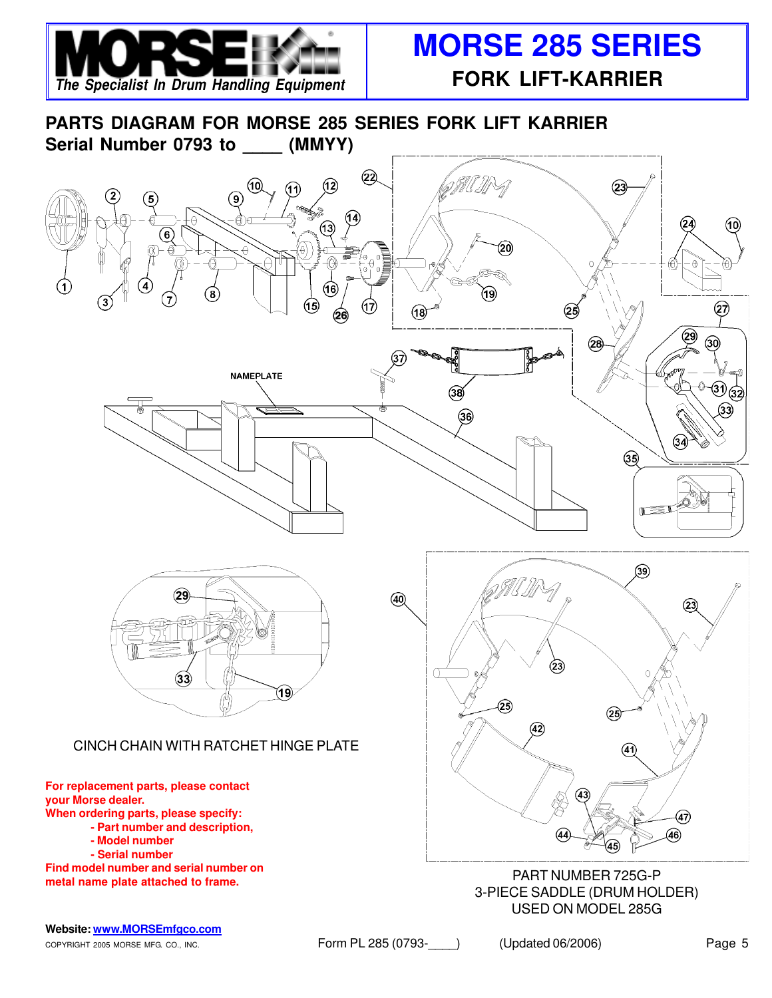

**PARTS DIAGRAM FOR MORSE 285 SERIES FORK LIFT KARRIER** Serial Number 0793 to (MMYY)



COPYRIGHT 2005 MORSE MFG. CO., INC. THE STATE RESULT PL 285 (0793- The SUPPORT OF ALL PAGE 5